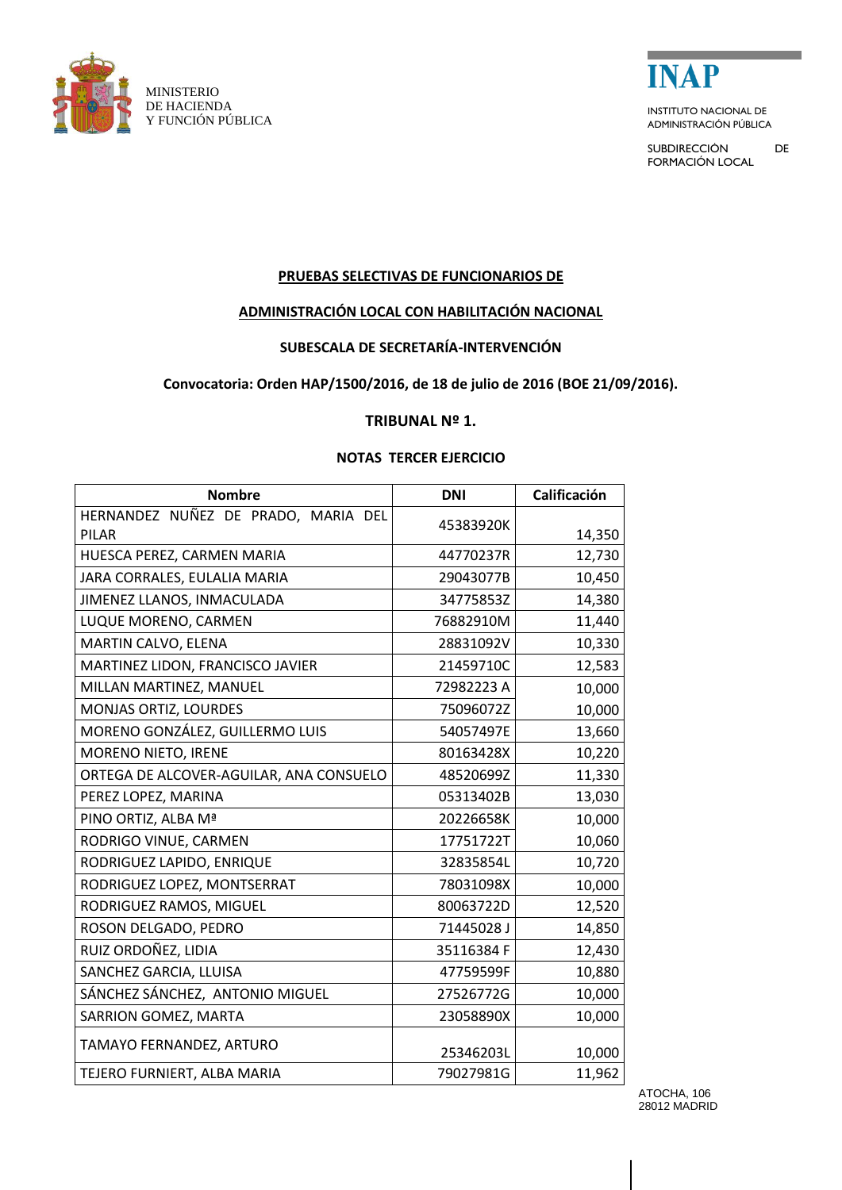



ADMINISTRACIÓN PÚBLICA

and the company of the company

SUBDIRECCIÓN DE FORMACIÓN LOCAL

# **PRUEBAS SELECTIVAS DE FUNCIONARIOS DE**

# **ADMINISTRACIÓN LOCAL CON HABILITACIÓN NACIONAL**

# **SUBESCALA DE SECRETARÍA-INTERVENCIÓN**

### **Convocatoria: Orden HAP/1500/2016, de 18 de julio de 2016 (BOE 21/09/2016).**

#### **TRIBUNAL Nº 1.**

### **NOTAS TERCER EJERCICIO**

| <b>Nombre</b>                                       | <b>DNI</b> | Calificación |
|-----------------------------------------------------|------------|--------------|
| HERNANDEZ NUÑEZ DE PRADO, MARIA DEL<br><b>PILAR</b> | 45383920K  | 14,350       |
| HUESCA PEREZ, CARMEN MARIA                          | 44770237R  | 12,730       |
| JARA CORRALES, EULALIA MARIA                        | 29043077B  | 10,450       |
| JIMENEZ LLANOS, INMACULADA                          | 34775853Z  | 14,380       |
| LUQUE MORENO, CARMEN                                | 76882910M  | 11,440       |
| MARTIN CALVO, ELENA                                 | 28831092V  | 10,330       |
| MARTINEZ LIDON, FRANCISCO JAVIER                    | 21459710C  | 12,583       |
| MILLAN MARTINEZ, MANUEL                             | 72982223 A | 10,000       |
| MONJAS ORTIZ, LOURDES                               | 75096072Z  | 10,000       |
| MORENO GONZÁLEZ, GUILLERMO LUIS                     | 54057497E  | 13,660       |
| MORENO NIETO, IRENE                                 | 80163428X  | 10,220       |
| ORTEGA DE ALCOVER-AGUILAR, ANA CONSUELO             | 48520699Z  | 11,330       |
| PEREZ LOPEZ, MARINA                                 | 05313402B  | 13,030       |
| PINO ORTIZ, ALBA Mª                                 | 20226658K  | 10,000       |
| RODRIGO VINUE, CARMEN                               | 17751722T  | 10,060       |
| RODRIGUEZ LAPIDO, ENRIQUE                           | 32835854L  | 10,720       |
| RODRIGUEZ LOPEZ, MONTSERRAT                         | 78031098X  | 10,000       |
| RODRIGUEZ RAMOS, MIGUEL                             | 80063722D  | 12,520       |
| ROSON DELGADO, PEDRO                                | 71445028 J | 14,850       |
| RUIZ ORDOÑEZ, LIDIA                                 | 35116384 F | 12,430       |
| SANCHEZ GARCIA, LLUISA                              | 47759599F  | 10,880       |
| SÁNCHEZ SÁNCHEZ, ANTONIO MIGUEL                     | 27526772G  | 10,000       |
| SARRION GOMEZ, MARTA                                | 23058890X  | 10,000       |
| TAMAYO FERNANDEZ, ARTURO                            | 25346203L  | 10,000       |
| TEJERO FURNIERT, ALBA MARIA                         | 79027981G  | 11,962       |

ATOCHA, 106 28012 MADRID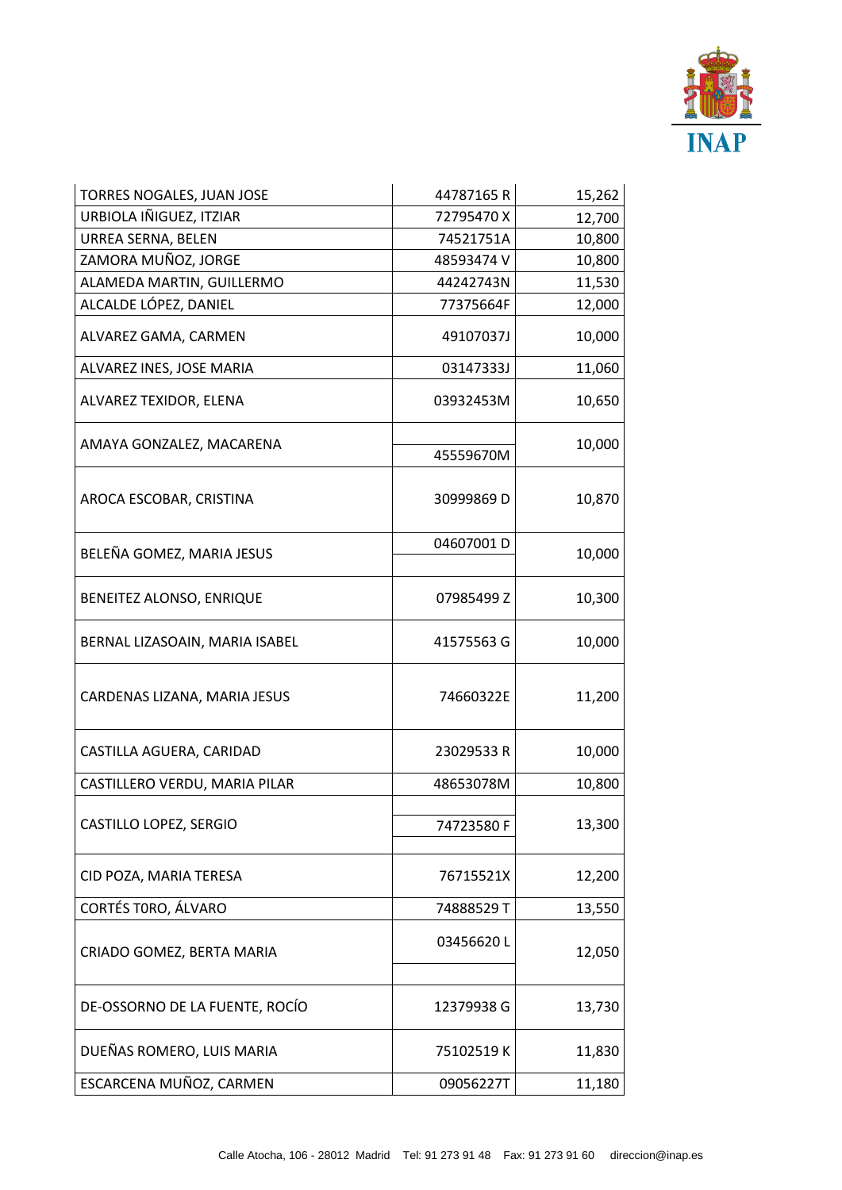

| TORRES NOGALES, JUAN JOSE      | 44787165R  | 15,262 |
|--------------------------------|------------|--------|
| URBIOLA IÑIGUEZ, ITZIAR        | 72795470X  | 12,700 |
| <b>URREA SERNA, BELEN</b>      | 74521751A  | 10,800 |
| ZAMORA MUÑOZ, JORGE            | 48593474 V | 10,800 |
| ALAMEDA MARTIN, GUILLERMO      | 44242743N  | 11,530 |
| ALCALDE LÓPEZ, DANIEL          | 77375664F  | 12,000 |
| ALVAREZ GAMA, CARMEN           | 49107037J  | 10,000 |
| ALVAREZ INES, JOSE MARIA       | 03147333J  | 11,060 |
| ALVAREZ TEXIDOR, ELENA         | 03932453M  | 10,650 |
| AMAYA GONZALEZ, MACARENA       | 45559670M  | 10,000 |
| AROCA ESCOBAR, CRISTINA        | 30999869 D | 10,870 |
| BELEÑA GOMEZ, MARIA JESUS      | 04607001D  | 10,000 |
| BENEITEZ ALONSO, ENRIQUE       | 07985499 Z | 10,300 |
| BERNAL LIZASOAIN, MARIA ISABEL | 41575563 G | 10,000 |
| CARDENAS LIZANA, MARIA JESUS   | 74660322E  | 11,200 |
| CASTILLA AGUERA, CARIDAD       | 23029533 R | 10,000 |
| CASTILLERO VERDU, MARIA PILAR  | 48653078M  | 10,800 |
| CASTILLO LOPEZ, SERGIO         | 74723580F  | 13,300 |
| CID POZA, MARIA TERESA         | 76715521X  | 12,200 |
| CORTÉS TORO, ÁLVARO            | 74888529 T | 13,550 |
| CRIADO GOMEZ, BERTA MARIA      | 03456620L  | 12,050 |
| DE-OSSORNO DE LA FUENTE, ROCÍO | 12379938 G | 13,730 |
| DUEÑAS ROMERO, LUIS MARIA      | 75102519K  | 11,830 |
| ESCARCENA MUÑOZ, CARMEN        | 09056227T  | 11,180 |